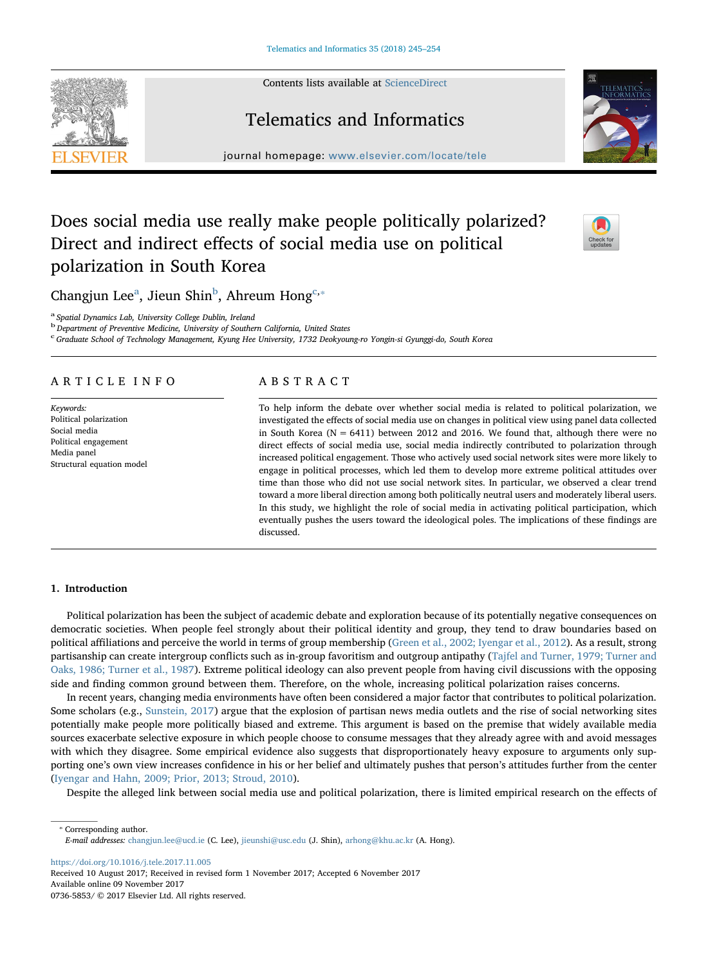Contents lists available at [ScienceDirect](http://www.sciencedirect.com/science/journal/07365853)

# Telematics and Informatics

journal homepage: [www.elsevier.com/locate/tele](https://www.elsevier.com/locate/tele)

# Does social media use really make people politically polarized? Direct and indirect effects of social media use on political polarization in South Korea

Ch[a](#page-0-0)ngjun Lee<sup>a</sup>, Jieun Shin<sup>[b](#page-0-1)</sup>, Ahreum Hong<sup>[c](#page-0-2),\*</sup>

<span id="page-0-0"></span><sup>a</sup> Spatial Dynamics Lab, University College Dublin, Ireland

<span id="page-0-1"></span><sup>b</sup> Department of Preventive Medicine, University of Southern California, United States

<span id="page-0-2"></span>c Graduate School of Technology Management, Kyung Hee University, 1732 Deokyoung-ro Yongin-si Gyunggi-do, South Korea

# ARTICLE INFO

Keywords: Political polarization Social media Political engagement Media panel Structural equation model

# ABSTRACT

To help inform the debate over whether social media is related to political polarization, we investigated the effects of social media use on changes in political view using panel data collected in South Korea ( $N = 6411$ ) between 2012 and 2016. We found that, although there were no direct effects of social media use, social media indirectly contributed to polarization through increased political engagement. Those who actively used social network sites were more likely to engage in political processes, which led them to develop more extreme political attitudes over time than those who did not use social network sites. In particular, we observed a clear trend toward a more liberal direction among both politically neutral users and moderately liberal users. In this study, we highlight the role of social media in activating political participation, which eventually pushes the users toward the ideological poles. The implications of these findings are discussed.

# 1. Introduction

Political polarization has been the subject of academic debate and exploration because of its potentially negative consequences on democratic societies. When people feel strongly about their political identity and group, they tend to draw boundaries based on political affiliations and perceive the world in terms of group membership ([Green et al., 2002; Iyengar et al., 2012\)](#page-9-0). As a result, strong partisanship can create intergroup conflicts such as in-group favoritism and outgroup antipathy [\(Tajfel and Turner, 1979; Turner and](#page-9-1) [Oaks, 1986; Turner et al., 1987](#page-9-1)). Extreme political ideology can also prevent people from having civil discussions with the opposing side and finding common ground between them. Therefore, on the whole, increasing political polarization raises concerns.

In recent years, changing media environments have often been considered a major factor that contributes to political polarization. Some scholars (e.g., [Sunstein, 2017\)](#page-9-2) argue that the explosion of partisan news media outlets and the rise of social networking sites potentially make people more politically biased and extreme. This argument is based on the premise that widely available media sources exacerbate selective exposure in which people choose to consume messages that they already agree with and avoid messages with which they disagree. Some empirical evidence also suggests that disproportionately heavy exposure to arguments only supporting one's own view increases confidence in his or her belief and ultimately pushes that person's attitudes further from the center ([Iyengar and Hahn, 2009; Prior, 2013; Stroud, 2010](#page-9-3)).

Despite the alleged link between social media use and political polarization, there is limited empirical research on the effects of

<span id="page-0-3"></span>⁎ Corresponding author. E-mail addresses: [changjun.lee@ucd.ie](mailto:changjun.lee@ucd.ie) (C. Lee), [jieunshi@usc.edu](mailto:jieunshi@usc.edu) (J. Shin), [arhong@khu.ac.kr](mailto:arhong@khu.ac.kr) (A. Hong).

<https://doi.org/10.1016/j.tele.2017.11.005>

Received 10 August 2017; Received in revised form 1 November 2017; Accepted 6 November 2017 Available online 09 November 2017 0736-5853/ © 2017 Elsevier Ltd. All rights reserved.





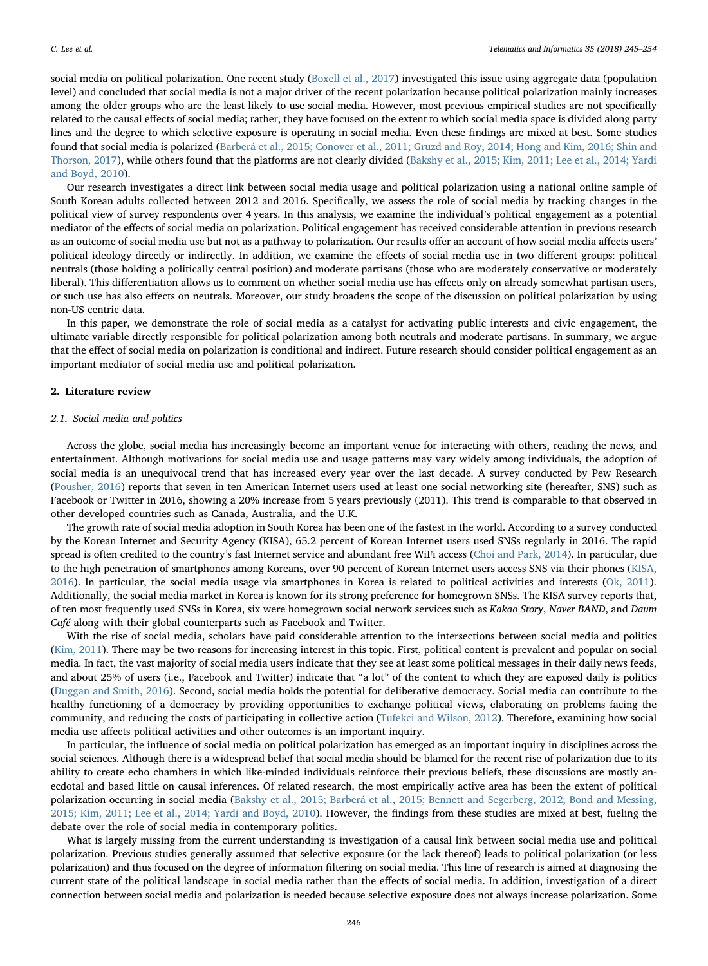social media on political polarization. One recent study ([Boxell et al., 2017\)](#page-9-4) investigated this issue using aggregate data (population level) and concluded that social media is not a major driver of the recent polarization because political polarization mainly increases among the older groups who are the least likely to use social media. However, most previous empirical studies are not specifically related to the causal effects of social media; rather, they have focused on the extent to which social media space is divided along party lines and the degree to which selective exposure is operating in social media. Even these findings are mixed at best. Some studies found that social media is polarized [\(Barberá et al., 2015; Conover et al., 2011; Gruzd and Roy, 2014; Hong and Kim, 2016; Shin and](#page-9-5) [Thorson, 2017](#page-9-5)), while others found that the platforms are not clearly divided [\(Bakshy et al., 2015; Kim, 2011; Lee et al., 2014; Yardi](#page-9-6) [and Boyd, 2010](#page-9-6)).

Our research investigates a direct link between social media usage and political polarization using a national online sample of South Korean adults collected between 2012 and 2016. Specifically, we assess the role of social media by tracking changes in the political view of survey respondents over 4 years. In this analysis, we examine the individual's political engagement as a potential mediator of the effects of social media on polarization. Political engagement has received considerable attention in previous research as an outcome of social media use but not as a pathway to polarization. Our results offer an account of how social media affects users' political ideology directly or indirectly. In addition, we examine the effects of social media use in two different groups: political neutrals (those holding a politically central position) and moderate partisans (those who are moderately conservative or moderately liberal). This differentiation allows us to comment on whether social media use has effects only on already somewhat partisan users, or such use has also effects on neutrals. Moreover, our study broadens the scope of the discussion on political polarization by using non-US centric data.

In this paper, we demonstrate the role of social media as a catalyst for activating public interests and civic engagement, the ultimate variable directly responsible for political polarization among both neutrals and moderate partisans. In summary, we argue that the effect of social media on polarization is conditional and indirect. Future research should consider political engagement as an important mediator of social media use and political polarization.

### 2. Literature review

#### 2.1. Social media and politics

Across the globe, social media has increasingly become an important venue for interacting with others, reading the news, and entertainment. Although motivations for social media use and usage patterns may vary widely among individuals, the adoption of social media is an unequivocal trend that has increased every year over the last decade. A survey conducted by Pew Research ([Pousher, 2016](#page-9-7)) reports that seven in ten American Internet users used at least one social networking site (hereafter, SNS) such as Facebook or Twitter in 2016, showing a 20% increase from 5 years previously (2011). This trend is comparable to that observed in other developed countries such as Canada, Australia, and the U.K.

The growth rate of social media adoption in South Korea has been one of the fastest in the world. According to a survey conducted by the Korean Internet and Security Agency (KISA), 65.2 percent of Korean Internet users used SNSs regularly in 2016. The rapid spread is often credited to the country's fast Internet service and abundant free WiFi access [\(Choi and Park, 2014\)](#page-9-8). In particular, due to the high penetration of smartphones among Koreans, over 90 percent of Korean Internet users access SNS via their phones ([KISA,](#page-9-9) [2016\)](#page-9-9). In particular, the social media usage via smartphones in Korea is related to political activities and interests [\(Ok, 2011\)](#page-9-10). Additionally, the social media market in Korea is known for its strong preference for homegrown SNSs. The KISA survey reports that, of ten most frequently used SNSs in Korea, six were homegrown social network services such as Kakao Story, Naver BAND, and Daum Café along with their global counterparts such as Facebook and Twitter.

With the rise of social media, scholars have paid considerable attention to the intersections between social media and politics ([Kim, 2011\)](#page-9-11). There may be two reasons for increasing interest in this topic. First, political content is prevalent and popular on social media. In fact, the vast majority of social media users indicate that they see at least some political messages in their daily news feeds, and about 25% of users (i.e., Facebook and Twitter) indicate that "a lot" of the content to which they are exposed daily is politics ([Duggan and Smith, 2016](#page-9-12)). Second, social media holds the potential for deliberative democracy. Social media can contribute to the healthy functioning of a democracy by providing opportunities to exchange political views, elaborating on problems facing the community, and reducing the costs of participating in collective action ([Tufekci and Wilson, 2012\)](#page-9-13). Therefore, examining how social media use affects political activities and other outcomes is an important inquiry.

In particular, the influence of social media on political polarization has emerged as an important inquiry in disciplines across the social sciences. Although there is a widespread belief that social media should be blamed for the recent rise of polarization due to its ability to create echo chambers in which like-minded individuals reinforce their previous beliefs, these discussions are mostly anecdotal and based little on causal inferences. Of related research, the most empirically active area has been the extent of political polarization occurring in social media [\(Bakshy et al., 2015; Barberá et al., 2015; Bennett and Segerberg, 2012; Bond and Messing,](#page-9-6) [2015; Kim, 2011; Lee et al., 2014; Yardi and Boyd, 2010\)](#page-9-6). However, the findings from these studies are mixed at best, fueling the debate over the role of social media in contemporary politics.

What is largely missing from the current understanding is investigation of a causal link between social media use and political polarization. Previous studies generally assumed that selective exposure (or the lack thereof) leads to political polarization (or less polarization) and thus focused on the degree of information filtering on social media. This line of research is aimed at diagnosing the current state of the political landscape in social media rather than the effects of social media. In addition, investigation of a direct connection between social media and polarization is needed because selective exposure does not always increase polarization. Some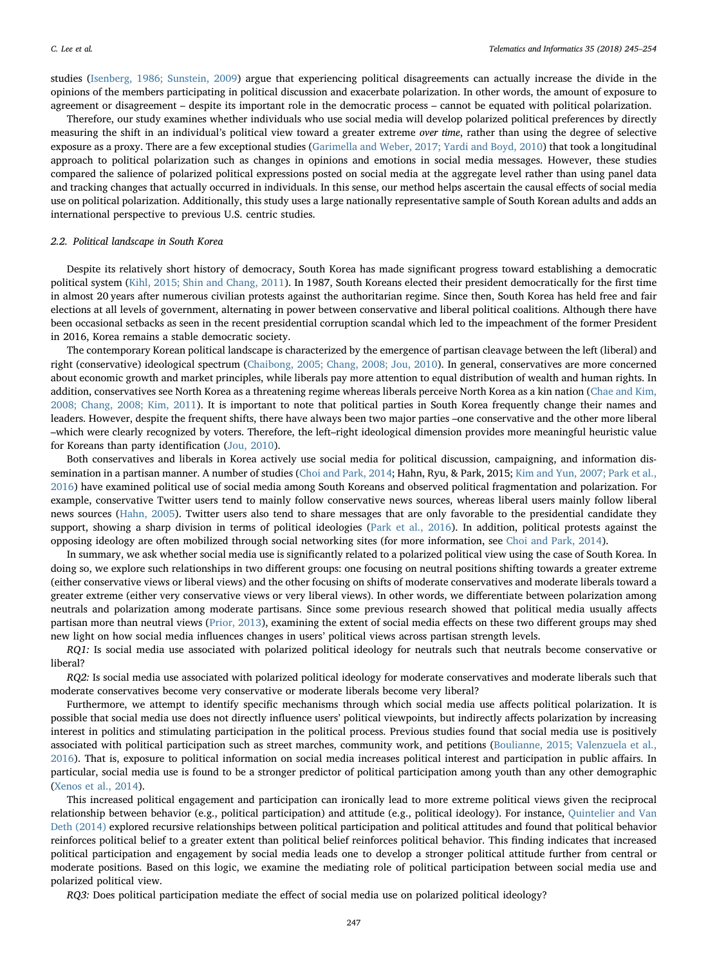studies ([Isenberg, 1986; Sunstein, 2009](#page-9-14)) argue that experiencing political disagreements can actually increase the divide in the opinions of the members participating in political discussion and exacerbate polarization. In other words, the amount of exposure to agreement or disagreement – despite its important role in the democratic process – cannot be equated with political polarization.

Therefore, our study examines whether individuals who use social media will develop polarized political preferences by directly measuring the shift in an individual's political view toward a greater extreme over time, rather than using the degree of selective exposure as a proxy. There are a few exceptional studies [\(Garimella and Weber, 2017; Yardi and Boyd, 2010](#page-9-15)) that took a longitudinal approach to political polarization such as changes in opinions and emotions in social media messages. However, these studies compared the salience of polarized political expressions posted on social media at the aggregate level rather than using panel data and tracking changes that actually occurred in individuals. In this sense, our method helps ascertain the causal effects of social media use on political polarization. Additionally, this study uses a large nationally representative sample of South Korean adults and adds an international perspective to previous U.S. centric studies.

# 2.2. Political landscape in South Korea

Despite its relatively short history of democracy, South Korea has made significant progress toward establishing a democratic political system [\(Kihl, 2015; Shin and Chang, 2011\)](#page-9-16). In 1987, South Koreans elected their president democratically for the first time in almost 20 years after numerous civilian protests against the authoritarian regime. Since then, South Korea has held free and fair elections at all levels of government, alternating in power between conservative and liberal political coalitions. Although there have been occasional setbacks as seen in the recent presidential corruption scandal which led to the impeachment of the former President in 2016, Korea remains a stable democratic society.

The contemporary Korean political landscape is characterized by the emergence of partisan cleavage between the left (liberal) and right (conservative) ideological spectrum [\(Chaibong, 2005; Chang, 2008; Jou, 2010\)](#page-9-17). In general, conservatives are more concerned about economic growth and market principles, while liberals pay more attention to equal distribution of wealth and human rights. In addition, conservatives see North Korea as a threatening regime whereas liberals perceive North Korea as a kin nation [\(Chae and Kim,](#page-9-18) [2008; Chang, 2008; Kim, 2011](#page-9-18)). It is important to note that political parties in South Korea frequently change their names and leaders. However, despite the frequent shifts, there have always been two major parties –one conservative and the other more liberal –which were clearly recognized by voters. Therefore, the left–right ideological dimension provides more meaningful heuristic value for Koreans than party identification [\(Jou, 2010\)](#page-9-19).

Both conservatives and liberals in Korea actively use social media for political discussion, campaigning, and information dissemination in a partisan manner. A number of studies [\(Choi and Park, 2014;](#page-9-8) Hahn, Ryu, & Park, 2015; [Kim and Yun, 2007; Park et al.,](#page-9-20) [2016\)](#page-9-20) have examined political use of social media among South Koreans and observed political fragmentation and polarization. For example, conservative Twitter users tend to mainly follow conservative news sources, whereas liberal users mainly follow liberal news sources [\(Hahn, 2005\)](#page-9-21). Twitter users also tend to share messages that are only favorable to the presidential candidate they support, showing a sharp division in terms of political ideologies [\(Park et al., 2016](#page-9-22)). In addition, political protests against the opposing ideology are often mobilized through social networking sites (for more information, see [Choi and Park, 2014](#page-9-8)).

In summary, we ask whether social media use is significantly related to a polarized political view using the case of South Korea. In doing so, we explore such relationships in two different groups: one focusing on neutral positions shifting towards a greater extreme (either conservative views or liberal views) and the other focusing on shifts of moderate conservatives and moderate liberals toward a greater extreme (either very conservative views or very liberal views). In other words, we differentiate between polarization among neutrals and polarization among moderate partisans. Since some previous research showed that political media usually affects partisan more than neutral views [\(Prior, 2013](#page-9-23)), examining the extent of social media effects on these two different groups may shed new light on how social media influences changes in users' political views across partisan strength levels.

RQ1: Is social media use associated with polarized political ideology for neutrals such that neutrals become conservative or liberal?

RQ2: Is social media use associated with polarized political ideology for moderate conservatives and moderate liberals such that moderate conservatives become very conservative or moderate liberals become very liberal?

Furthermore, we attempt to identify specific mechanisms through which social media use affects political polarization. It is possible that social media use does not directly influence users' political viewpoints, but indirectly affects polarization by increasing interest in politics and stimulating participation in the political process. Previous studies found that social media use is positively associated with political participation such as street marches, community work, and petitions ([Boulianne, 2015; Valenzuela et al.,](#page-9-24) [2016\)](#page-9-24). That is, exposure to political information on social media increases political interest and participation in public affairs. In particular, social media use is found to be a stronger predictor of political participation among youth than any other demographic ([Xenos et al., 2014](#page-9-25)).

This increased political engagement and participation can ironically lead to more extreme political views given the reciprocal relationship between behavior (e.g., political participation) and attitude (e.g., political ideology). For instance, [Quintelier and Van](#page-9-26) [Deth \(2014\)](#page-9-26) explored recursive relationships between political participation and political attitudes and found that political behavior reinforces political belief to a greater extent than political belief reinforces political behavior. This finding indicates that increased political participation and engagement by social media leads one to develop a stronger political attitude further from central or moderate positions. Based on this logic, we examine the mediating role of political participation between social media use and polarized political view.

RQ3: Does political participation mediate the effect of social media use on polarized political ideology?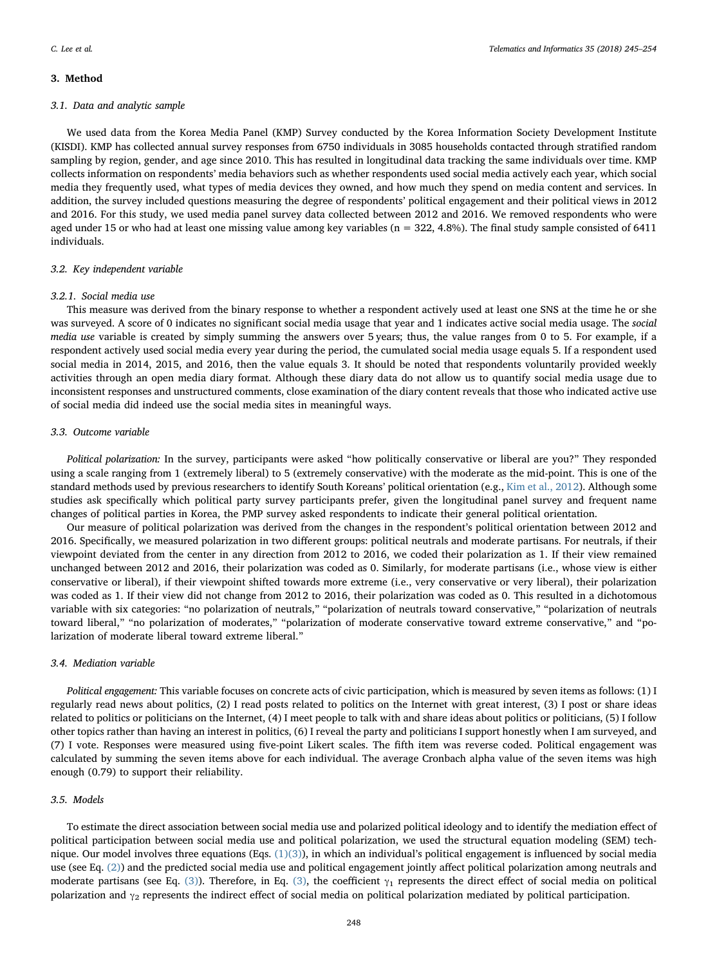# 3. Method

#### 3.1. Data and analytic sample

We used data from the Korea Media Panel (KMP) Survey conducted by the Korea Information Society Development Institute (KISDI). KMP has collected annual survey responses from 6750 individuals in 3085 households contacted through stratified random sampling by region, gender, and age since 2010. This has resulted in longitudinal data tracking the same individuals over time. KMP collects information on respondents' media behaviors such as whether respondents used social media actively each year, which social media they frequently used, what types of media devices they owned, and how much they spend on media content and services. In addition, the survey included questions measuring the degree of respondents' political engagement and their political views in 2012 and 2016. For this study, we used media panel survey data collected between 2012 and 2016. We removed respondents who were aged under 15 or who had at least one missing value among key variables ( $n = 322, 4.8\%$ ). The final study sample consisted of 6411 individuals.

#### 3.2. Key independent variable

### 3.2.1. Social media use

This measure was derived from the binary response to whether a respondent actively used at least one SNS at the time he or she was surveyed. A score of 0 indicates no significant social media usage that year and 1 indicates active social media usage. The social media use variable is created by simply summing the answers over 5 years; thus, the value ranges from 0 to 5. For example, if a respondent actively used social media every year during the period, the cumulated social media usage equals 5. If a respondent used social media in 2014, 2015, and 2016, then the value equals 3. It should be noted that respondents voluntarily provided weekly activities through an open media diary format. Although these diary data do not allow us to quantify social media usage due to inconsistent responses and unstructured comments, close examination of the diary content reveals that those who indicated active use of social media did indeed use the social media sites in meaningful ways.

## 3.3. Outcome variable

Political polarization: In the survey, participants were asked "how politically conservative or liberal are you?" They responded using a scale ranging from 1 (extremely liberal) to 5 (extremely conservative) with the moderate as the mid-point. This is one of the standard methods used by previous researchers to identify South Koreans' political orientation (e.g., [Kim et al., 2012](#page-9-27)). Although some studies ask specifically which political party survey participants prefer, given the longitudinal panel survey and frequent name changes of political parties in Korea, the PMP survey asked respondents to indicate their general political orientation.

Our measure of political polarization was derived from the changes in the respondent's political orientation between 2012 and 2016. Specifically, we measured polarization in two different groups: political neutrals and moderate partisans. For neutrals, if their viewpoint deviated from the center in any direction from 2012 to 2016, we coded their polarization as 1. If their view remained unchanged between 2012 and 2016, their polarization was coded as 0. Similarly, for moderate partisans (i.e., whose view is either conservative or liberal), if their viewpoint shifted towards more extreme (i.e., very conservative or very liberal), their polarization was coded as 1. If their view did not change from 2012 to 2016, their polarization was coded as 0. This resulted in a dichotomous variable with six categories: "no polarization of neutrals," "polarization of neutrals toward conservative," "polarization of neutrals toward liberal," "no polarization of moderates," "polarization of moderate conservative toward extreme conservative," and "polarization of moderate liberal toward extreme liberal."

## 3.4. Mediation variable

Political engagement: This variable focuses on concrete acts of civic participation, which is measured by seven items as follows: (1) I regularly read news about politics, (2) I read posts related to politics on the Internet with great interest, (3) I post or share ideas related to politics or politicians on the Internet, (4) I meet people to talk with and share ideas about politics or politicians, (5) I follow other topics rather than having an interest in politics, (6) I reveal the party and politicians I support honestly when I am surveyed, and (7) I vote. Responses were measured using five-point Likert scales. The fifth item was reverse coded. Political engagement was calculated by summing the seven items above for each individual. The average Cronbach alpha value of the seven items was high enough (0.79) to support their reliability.

# 3.5. Models

To estimate the direct association between social media use and polarized political ideology and to identify the mediation effect of political participation between social media use and political polarization, we used the structural equation modeling (SEM) technique. Our model involves three equations (Eqs. [\(1\)\(3\)](#page-4-0)), in which an individual's political engagement is influenced by social media use (see Eq. [\(2\)\)](#page-4-1) and the predicted social media use and political engagement jointly affect political polarization among neutrals and moderate partisans (see Eq. [\(3\)\)](#page-4-2). Therefore, in Eq. [\(3\),](#page-4-2) the coefficient  $\gamma_1$  represents the direct effect of social media on political polarization and  $\gamma_2$  represents the indirect effect of social media on political polarization mediated by political participation.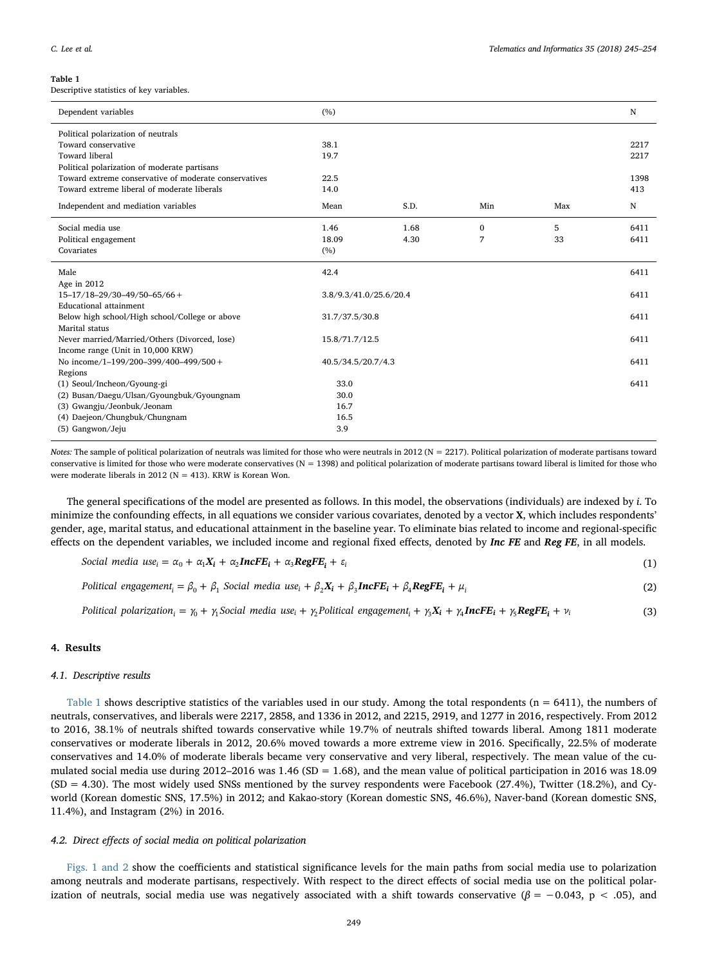#### <span id="page-4-3"></span>Table 1

Descriptive statistics of key variables.

| Dependent variables                                                                                                                                  | (%)                    |              |                   |         | N            |
|------------------------------------------------------------------------------------------------------------------------------------------------------|------------------------|--------------|-------------------|---------|--------------|
| Political polarization of neutrals<br>Toward conservative<br>Toward liberal                                                                          | 38.1<br>19.7           |              |                   |         | 2217<br>2217 |
| Political polarization of moderate partisans<br>Toward extreme conservative of moderate conservatives<br>Toward extreme liberal of moderate liberals | 22.5<br>14.0           |              |                   |         | 1398<br>413  |
| Independent and mediation variables                                                                                                                  | Mean                   | S.D.         | Min               | Max     | N            |
| Social media use<br>Political engagement<br>Covariates                                                                                               | 1.46<br>18.09<br>(%)   | 1.68<br>4.30 | $\mathbf{0}$<br>7 | 5<br>33 | 6411<br>6411 |
| Male                                                                                                                                                 | 42.4                   |              |                   |         | 6411         |
| Age in 2012<br>$15 - 17/18 - 29/30 - 49/50 - 65/66 +$<br>Educational attainment                                                                      | 3.8/9.3/41.0/25.6/20.4 |              |                   |         | 6411         |
| Below high school/High school/College or above<br>Marital status                                                                                     | 31.7/37.5/30.8         |              |                   |         | 6411         |
| Never married/Married/Others (Divorced, lose)<br>Income range (Unit in 10,000 KRW)                                                                   | 15.8/71.7/12.5         |              |                   |         | 6411         |
| No income/1-199/200-399/400-499/500+<br>Regions                                                                                                      | 40.5/34.5/20.7/4.3     |              |                   |         | 6411         |
| (1) Seoul/Incheon/Gyoung-gi<br>(2) Busan/Daegu/Ulsan/Gyoungbuk/Gyoungnam                                                                             | 33.0<br>30.0<br>16.7   |              |                   |         | 6411         |
| (3) Gwangju/Jeonbuk/Jeonam<br>(4) Daejeon/Chungbuk/Chungnam<br>(5) Gangwon/Jeju                                                                      | 16.5<br>3.9            |              |                   |         |              |

Notes: The sample of political polarization of neutrals was limited for those who were neutrals in 2012 (N = 2217). Political polarization of moderate partisans toward conservative is limited for those who were moderate conservatives  $(N = 1398)$  and political polarization of moderate partisans toward liberal is limited for those who were moderate liberals in 2012 ( $N = 413$ ). KRW is Korean Won.

<span id="page-4-0"></span>The general specifications of the model are presented as follows. In this model, the observations (individuals) are indexed by i. To minimize the confounding effects, in all equations we consider various covariates, denoted by a vector X, which includes respondents' gender, age, marital status, and educational attainment in the baseline year. To eliminate bias related to income and regional-specific effects on the dependent variables, we included income and regional fixed effects, denoted by Inc FE and Reg FE, in all models.

$$
Social media use_i = \alpha_0 + \alpha_1 X_i + \alpha_2 \text{IncFE}_i + \alpha_3 \text{RegFE}_i + \varepsilon_i
$$
\n
$$
(1)
$$

<span id="page-4-1"></span>
$$
Political engagement_i = \beta_0 + \beta_1 Social media use_i + \beta_2 X_i + \beta_3 IncFE_i + \beta_4 RegFE_i + \mu_i
$$
\n(2)

<span id="page-4-2"></span>*Political polarization*  $\mu = \gamma_0 + \gamma_1$  *Social media use*  $\mu + \gamma_2$  *Political engagement*  $\mu + \gamma_2 X_i + \gamma_1$  *IncFE*  $i + \gamma_2$  *RegFE*  $i + \gamma_1$  (3)

## 4. Results

## 4.1. Descriptive results

[Table 1](#page-4-3) shows descriptive statistics of the variables used in our study. Among the total respondents ( $n = 6411$ ), the numbers of neutrals, conservatives, and liberals were 2217, 2858, and 1336 in 2012, and 2215, 2919, and 1277 in 2016, respectively. From 2012 to 2016, 38.1% of neutrals shifted towards conservative while 19.7% of neutrals shifted towards liberal. Among 1811 moderate conservatives or moderate liberals in 2012, 20.6% moved towards a more extreme view in 2016. Specifically, 22.5% of moderate conservatives and 14.0% of moderate liberals became very conservative and very liberal, respectively. The mean value of the cumulated social media use during  $2012-2016$  was  $1.46$  (SD = 1.68), and the mean value of political participation in  $2016$  was 18.09 (SD = 4.30). The most widely used SNSs mentioned by the survey respondents were Facebook (27.4%), Twitter (18.2%), and Cyworld (Korean domestic SNS, 17.5%) in 2012; and Kakao-story (Korean domestic SNS, 46.6%), Naver-band (Korean domestic SNS, 11.4%), and Instagram (2%) in 2016.

#### 4.2. Direct effects of social media on political polarization

[Figs. 1 and 2](#page-5-0) show the coefficients and statistical significance levels for the main paths from social media use to polarization among neutrals and moderate partisans, respectively. With respect to the direct effects of social media use on the political polarization of neutrals, social media use was negatively associated with a shift towards conservative ( $\beta$  = −0.043, p < .05), and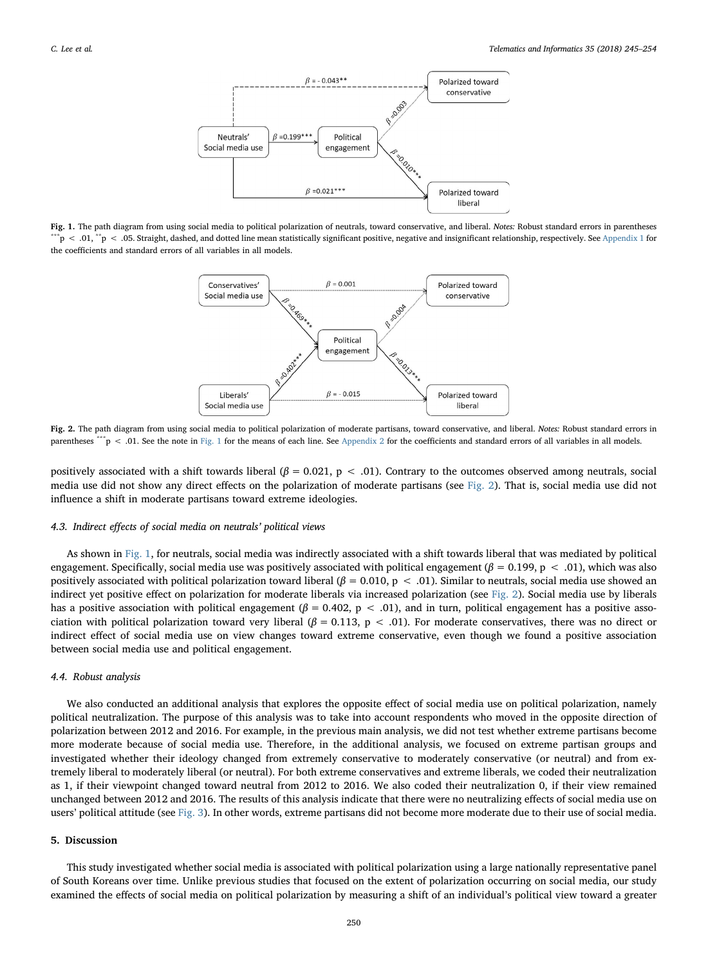<span id="page-5-0"></span>

<span id="page-5-1"></span>Fig. 1. The path diagram from using social media to political polarization of neutrals, toward conservative, and liberal. Notes: Robust standard errors in parentheses  $*$ p < .01,  $*$ p < .05. Straight, dashed, and dotted line mean statistically significant positive, negative and insignificant relationship, respectively. See [Appendix 1](#page-7-0) for the coefficients and standard errors of all variables in all models.



Fig. 2. The path diagram from using social media to political polarization of moderate partisans, toward conservative, and liberal. Notes: Robust standard errors in parentheses \*\*\*p < .01. See the note in [Fig. 1](#page-5-0) for the means of each line. See [Appendix 2](#page-7-0) for the coefficients and standard errors of all variables in all models.

positively associated with a shift towards liberal ( $\beta = 0.021$ ,  $p < .01$ ). Contrary to the outcomes observed among neutrals, social media use did not show any direct effects on the polarization of moderate partisans (see [Fig. 2](#page-5-1)). That is, social media use did not influence a shift in moderate partisans toward extreme ideologies.

# 4.3. Indirect effects of social media on neutrals' political views

As shown in [Fig. 1](#page-5-0), for neutrals, social media was indirectly associated with a shift towards liberal that was mediated by political engagement. Specifically, social media use was positively associated with political engagement ( $\beta = 0.199$ , p < .01), which was also positively associated with political polarization toward liberal ( $\beta = 0.010$ , p < .01). Similar to neutrals, social media use showed an indirect yet positive effect on polarization for moderate liberals via increased polarization (see [Fig. 2](#page-5-1)). Social media use by liberals has a positive association with political engagement ( $\beta$  = 0.402, p < .01), and in turn, political engagement has a positive association with political polarization toward very liberal ( $\beta = 0.113$ , p < .01). For moderate conservatives, there was no direct or indirect effect of social media use on view changes toward extreme conservative, even though we found a positive association between social media use and political engagement.

# 4.4. Robust analysis

We also conducted an additional analysis that explores the opposite effect of social media use on political polarization, namely political neutralization. The purpose of this analysis was to take into account respondents who moved in the opposite direction of polarization between 2012 and 2016. For example, in the previous main analysis, we did not test whether extreme partisans become more moderate because of social media use. Therefore, in the additional analysis, we focused on extreme partisan groups and investigated whether their ideology changed from extremely conservative to moderately conservative (or neutral) and from extremely liberal to moderately liberal (or neutral). For both extreme conservatives and extreme liberals, we coded their neutralization as 1, if their viewpoint changed toward neutral from 2012 to 2016. We also coded their neutralization 0, if their view remained unchanged between 2012 and 2016. The results of this analysis indicate that there were no neutralizing effects of social media use on users' political attitude (see [Fig. 3\)](#page-6-0). In other words, extreme partisans did not become more moderate due to their use of social media.

#### 5. Discussion

This study investigated whether social media is associated with political polarization using a large nationally representative panel of South Koreans over time. Unlike previous studies that focused on the extent of polarization occurring on social media, our study examined the effects of social media on political polarization by measuring a shift of an individual's political view toward a greater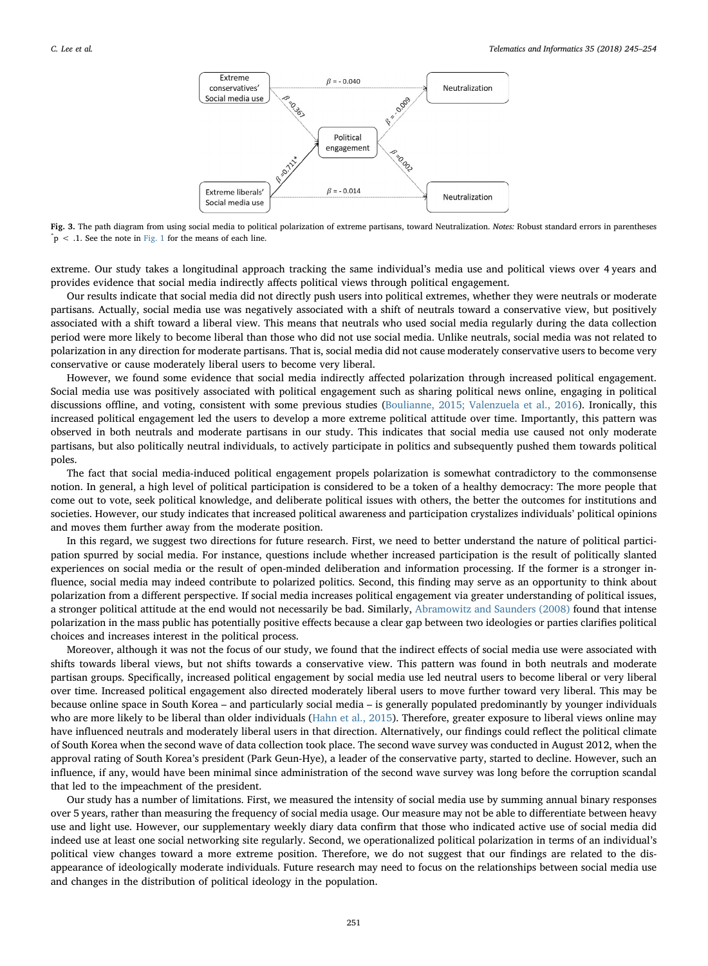<span id="page-6-0"></span>

Fig. 3. The path diagram from using social media to political polarization of extreme partisans, toward Neutralization. Notes: Robust standard errors in parentheses  $p$  < .1. See the note in [Fig. 1](#page-5-0) for the means of each line.

extreme. Our study takes a longitudinal approach tracking the same individual's media use and political views over 4 years and provides evidence that social media indirectly affects political views through political engagement.

Our results indicate that social media did not directly push users into political extremes, whether they were neutrals or moderate partisans. Actually, social media use was negatively associated with a shift of neutrals toward a conservative view, but positively associated with a shift toward a liberal view. This means that neutrals who used social media regularly during the data collection period were more likely to become liberal than those who did not use social media. Unlike neutrals, social media was not related to polarization in any direction for moderate partisans. That is, social media did not cause moderately conservative users to become very conservative or cause moderately liberal users to become very liberal.

However, we found some evidence that social media indirectly affected polarization through increased political engagement. Social media use was positively associated with political engagement such as sharing political news online, engaging in political discussions offline, and voting, consistent with some previous studies ([Boulianne, 2015; Valenzuela et al., 2016\)](#page-9-24). Ironically, this increased political engagement led the users to develop a more extreme political attitude over time. Importantly, this pattern was observed in both neutrals and moderate partisans in our study. This indicates that social media use caused not only moderate partisans, but also politically neutral individuals, to actively participate in politics and subsequently pushed them towards political poles.

The fact that social media-induced political engagement propels polarization is somewhat contradictory to the commonsense notion. In general, a high level of political participation is considered to be a token of a healthy democracy: The more people that come out to vote, seek political knowledge, and deliberate political issues with others, the better the outcomes for institutions and societies. However, our study indicates that increased political awareness and participation crystalizes individuals' political opinions and moves them further away from the moderate position.

In this regard, we suggest two directions for future research. First, we need to better understand the nature of political participation spurred by social media. For instance, questions include whether increased participation is the result of politically slanted experiences on social media or the result of open-minded deliberation and information processing. If the former is a stronger influence, social media may indeed contribute to polarized politics. Second, this finding may serve as an opportunity to think about polarization from a different perspective. If social media increases political engagement via greater understanding of political issues, a stronger political attitude at the end would not necessarily be bad. Similarly, [Abramowitz and Saunders \(2008\)](#page-9-28) found that intense polarization in the mass public has potentially positive effects because a clear gap between two ideologies or parties clarifies political choices and increases interest in the political process.

Moreover, although it was not the focus of our study, we found that the indirect effects of social media use were associated with shifts towards liberal views, but not shifts towards a conservative view. This pattern was found in both neutrals and moderate partisan groups. Specifically, increased political engagement by social media use led neutral users to become liberal or very liberal over time. Increased political engagement also directed moderately liberal users to move further toward very liberal. This may be because online space in South Korea – and particularly social media – is generally populated predominantly by younger individuals who are more likely to be liberal than older individuals [\(Hahn et al., 2015\)](#page-9-29). Therefore, greater exposure to liberal views online may have influenced neutrals and moderately liberal users in that direction. Alternatively, our findings could reflect the political climate of South Korea when the second wave of data collection took place. The second wave survey was conducted in August 2012, when the approval rating of South Korea's president (Park Geun-Hye), a leader of the conservative party, started to decline. However, such an influence, if any, would have been minimal since administration of the second wave survey was long before the corruption scandal that led to the impeachment of the president.

Our study has a number of limitations. First, we measured the intensity of social media use by summing annual binary responses over 5 years, rather than measuring the frequency of social media usage. Our measure may not be able to differentiate between heavy use and light use. However, our supplementary weekly diary data confirm that those who indicated active use of social media did indeed use at least one social networking site regularly. Second, we operationalized political polarization in terms of an individual's political view changes toward a more extreme position. Therefore, we do not suggest that our findings are related to the disappearance of ideologically moderate individuals. Future research may need to focus on the relationships between social media use and changes in the distribution of political ideology in the population.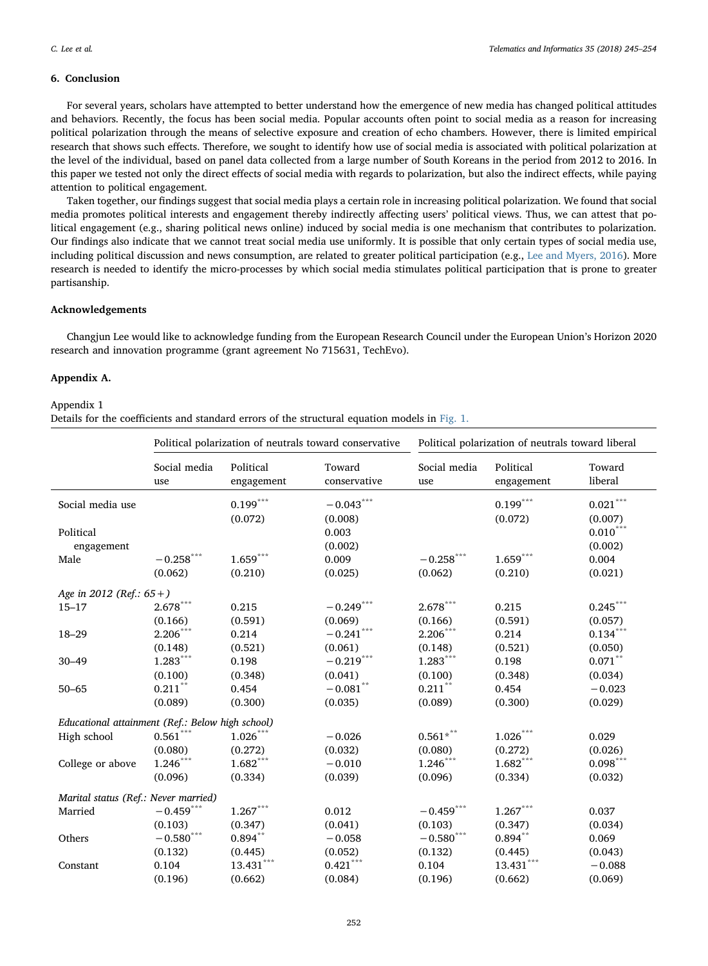# 6. Conclusion

For several years, scholars have attempted to better understand how the emergence of new media has changed political attitudes and behaviors. Recently, the focus has been social media. Popular accounts often point to social media as a reason for increasing political polarization through the means of selective exposure and creation of echo chambers. However, there is limited empirical research that shows such effects. Therefore, we sought to identify how use of social media is associated with political polarization at the level of the individual, based on panel data collected from a large number of South Koreans in the period from 2012 to 2016. In this paper we tested not only the direct effects of social media with regards to polarization, but also the indirect effects, while paying attention to political engagement.

Taken together, our findings suggest that social media plays a certain role in increasing political polarization. We found that social media promotes political interests and engagement thereby indirectly affecting users' political views. Thus, we can attest that political engagement (e.g., sharing political news online) induced by social media is one mechanism that contributes to polarization. Our findings also indicate that we cannot treat social media use uniformly. It is possible that only certain types of social media use, including political discussion and news consumption, are related to greater political participation (e.g., [Lee and Myers, 2016](#page-9-30)). More research is needed to identify the micro-processes by which social media stimulates political participation that is prone to greater partisanship.

# Acknowledgements

Changjun Lee would like to acknowledge funding from the European Research Council under the European Union's Horizon 2020 research and innovation programme (grant agreement No 715631, TechEvo).

# <span id="page-7-0"></span>Appendix A.

# Appendix 1

Details for the coefficients and standard errors of the structural equation models in [Fig. 1.](#page-5-0)

|                                                  | Political polarization of neutrals toward conservative |                                  |                                  | Political polarization of neutrals toward liberal |                                  |                        |  |
|--------------------------------------------------|--------------------------------------------------------|----------------------------------|----------------------------------|---------------------------------------------------|----------------------------------|------------------------|--|
|                                                  | Social media<br>use                                    | Political<br>engagement          | Toward<br>conservative           | Social media<br>use                               | Political<br>engagement          | Toward<br>liberal      |  |
| Social media use                                 |                                                        | $0.199^{\ast\ast\ast}$           | $-0.043***$                      |                                                   | $0.199^{\ast\ast\ast}$           | $0.021^{\ast\ast\ast}$ |  |
|                                                  |                                                        | (0.072)                          | (0.008)                          |                                                   | (0.072)                          | (0.007)                |  |
| Political                                        |                                                        |                                  | 0.003                            |                                                   |                                  | $0.010***$             |  |
| engagement                                       |                                                        |                                  | (0.002)                          |                                                   |                                  | (0.002)                |  |
| Male                                             | $-0.258***$                                            | $1.659***$                       | 0.009                            | $-0.258***$                                       | $1.659***$                       | 0.004                  |  |
|                                                  | (0.062)                                                | (0.210)                          | (0.025)                          | (0.062)                                           | (0.210)                          | (0.021)                |  |
| Age in 2012 (Ref.: $65+$ )                       |                                                        |                                  |                                  |                                                   |                                  |                        |  |
| $15 - 17$                                        | $2.678^{\ast\ast\ast}$                                 | 0.215                            | $-0.249***$                      | $2.678***$                                        | 0.215                            | $0.245***$             |  |
|                                                  | (0.166)                                                | (0.591)                          | (0.069)                          | (0.166)                                           | (0.591)                          | (0.057)                |  |
| $18 - 29$                                        | $2.206\sp{***}$                                        | 0.214                            | $-0.241$ ***                     | $2.206\sp{***}$                                   | 0.214                            | $0.134***$             |  |
|                                                  | (0.148)                                                | (0.521)                          | (0.061)                          | (0.148)                                           | (0.521)                          | (0.050)                |  |
| $30 - 49$                                        | $1.283***$                                             | 0.198                            | $-0.219***$                      | $1.283***$                                        | 0.198                            | $0.071***$             |  |
|                                                  | (0.100)                                                | (0.348)                          | (0.041)                          | (0.100)                                           | (0.348)                          | (0.034)                |  |
| $50 - 65$                                        | $0.211^{\ast\ast}$                                     | 0.454                            | $-0.081^{\ast\ast}$              | $0.211^{\ast\ast}$                                | 0.454                            | $-0.023$               |  |
|                                                  | (0.089)                                                | (0.300)                          | (0.035)                          | (0.089)                                           | (0.300)                          | (0.029)                |  |
| Educational attainment (Ref.: Below high school) |                                                        |                                  |                                  |                                                   |                                  |                        |  |
| High school                                      | $0.561^{\ast\ast\ast}$                                 | $1.026\sp{***}$                  | $-0.026$                         | $0.561^{*\ast}$                                   | $1.026\sp{*}^{***}$              | 0.029                  |  |
|                                                  | (0.080)                                                | (0.272)                          | (0.032)                          | (0.080)                                           | (0.272)                          | (0.026)                |  |
| College or above                                 | $1.246***$                                             | $1.682***$                       | $-0.010$                         | $1.246\sp{***}$                                   | $1.682***$                       | $0.098***$             |  |
|                                                  | (0.096)                                                | (0.334)                          | (0.039)                          | (0.096)                                           | (0.334)                          | (0.032)                |  |
| Marital status (Ref.: Never married)             |                                                        |                                  |                                  |                                                   |                                  |                        |  |
| Married                                          | $-0.459***$                                            | $1.267\sp{***}$                  | 0.012                            | $-0.459***$                                       | $1.267***$                       | 0.037                  |  |
|                                                  | (0.103)                                                | (0.347)                          | (0.041)                          | (0.103)                                           | (0.347)                          | (0.034)                |  |
| Others                                           | $-0.580^{\ast\ast\ast}$                                | $0.894***$                       | $-0.058$                         | $-0.580^{\ast\ast\ast}$                           | $0.894***$                       | 0.069                  |  |
|                                                  | (0.132)                                                | (0.445)                          | (0.052)                          | (0.132)                                           | (0.445)                          | (0.043)                |  |
| Constant                                         | 0.104                                                  | $\textbf{13.431}^{\ast\ast\ast}$ | $0.421^\ast{}^{\ast}{}^{\ast}{}$ | 0.104                                             | $\textbf{13.431}^{\ast\ast\ast}$ | $-0.088$               |  |
|                                                  | (0.196)                                                | (0.662)                          | (0.084)                          | (0.196)                                           | (0.662)                          | (0.069)                |  |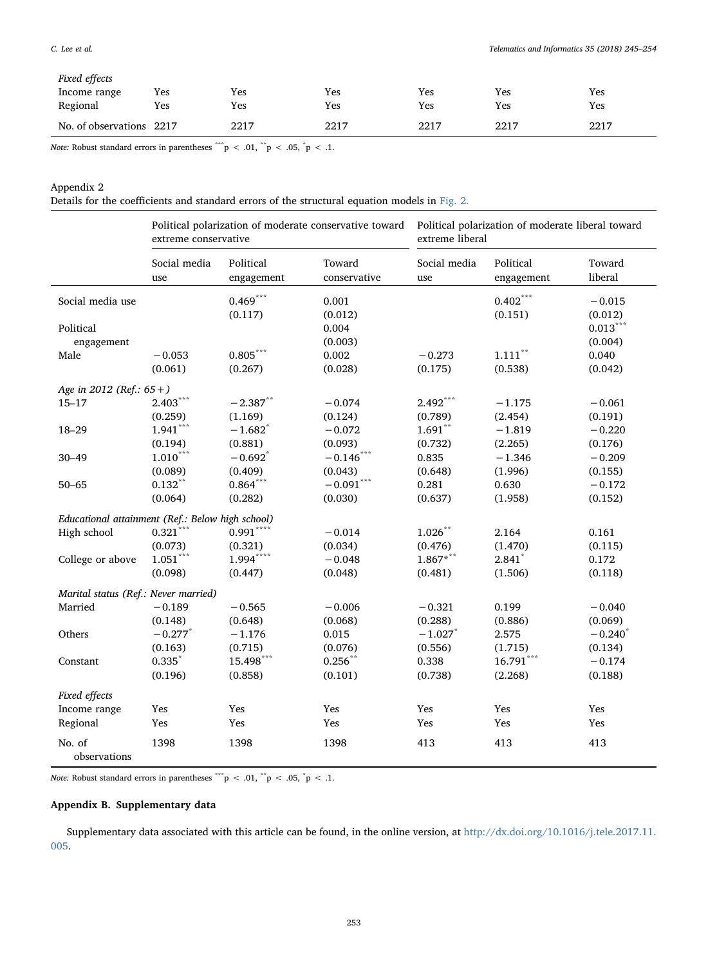| Fixed effects            |     |      |      |      |      |      |
|--------------------------|-----|------|------|------|------|------|
| Income range             | Yes | Yes  | Yes  | Yes  | Yes  | Yes  |
| Regional                 | Yes | Yes  | Yes  | Yes  | Yes  | Yes  |
| No. of observations 2217 |     | 2217 | 2217 | 2217 | 2217 | 2217 |

*Note:* Robust standard errors in parentheses \*\*\*p < .01, \*\*p < .05, \*p < .1.

| Appendix 2 |                                                                                               |  |  |  |  |
|------------|-----------------------------------------------------------------------------------------------|--|--|--|--|
|            | Details for the coefficients and standard errors of the structural equation models in Fig. 2. |  |  |  |  |

|                                                  | Political polarization of moderate conservative toward<br>extreme conservative |                         |                        | Political polarization of moderate liberal toward<br>extreme liberal |                         |                   |
|--------------------------------------------------|--------------------------------------------------------------------------------|-------------------------|------------------------|----------------------------------------------------------------------|-------------------------|-------------------|
|                                                  | Social media<br>use                                                            | Political<br>engagement | Toward<br>conservative | Social media<br>use                                                  | Political<br>engagement | Toward<br>liberal |
| Social media use                                 |                                                                                | $0.469***$              | 0.001                  |                                                                      | $0.402***$              | $-0.015$          |
|                                                  |                                                                                | (0.117)                 | (0.012)                |                                                                      | (0.151)                 | (0.012)           |
| Political                                        |                                                                                |                         | 0.004                  |                                                                      |                         | $0.013***$        |
| engagement                                       |                                                                                |                         | (0.003)                |                                                                      |                         | (0.004)           |
| Male                                             | $-0.053$                                                                       | $0.805***$              | 0.002                  | $-0.273$                                                             | $1.111$ **              | 0.040             |
|                                                  | (0.061)                                                                        | (0.267)                 | (0.028)                | (0.175)                                                              | (0.538)                 | (0.042)           |
| Age in 2012 (Ref.: 65+)                          |                                                                                |                         |                        |                                                                      |                         |                   |
| $15 - 17$                                        | $2.403***$                                                                     | $-2.387$ **             | $-0.074$               | $2.492***$                                                           | $-1.175$                | $-0.061$          |
|                                                  | (0.259)                                                                        | (1.169)                 | (0.124)                | (0.789)                                                              | (2.454)                 | (0.191)           |
| $18 - 29$                                        | $1.941***$                                                                     | $-1.682$ <sup>*</sup>   | $-0.072$               | $1.691***$                                                           | $-1.819$                | $-0.220$          |
|                                                  | (0.194)                                                                        | (0.881)                 | (0.093)                | (0.732)                                                              | (2.265)                 | (0.176)           |
| $30 - 49$                                        | $1.010***$                                                                     | $-0.692$ <sup>*</sup>   | $-0.146$ ***           | 0.835                                                                | $-1.346$                | $-0.209$          |
|                                                  | (0.089)                                                                        | (0.409)                 | (0.043)                | (0.648)                                                              | (1.996)                 | (0.155)           |
| $50 - 65$                                        | $0.132***$                                                                     | $0.864***$              | $-0.091***$            | 0.281                                                                | 0.630                   | $-0.172$          |
|                                                  | (0.064)                                                                        | (0.282)                 | (0.030)                | (0.637)                                                              | (1.958)                 | (0.152)           |
| Educational attainment (Ref.: Below high school) |                                                                                |                         |                        |                                                                      |                         |                   |
| High school                                      | $0.321***$                                                                     | $0.991***$              | $-0.014$               | $1.026***$                                                           | 2.164                   | 0.161             |
|                                                  | (0.073)                                                                        | (0.321)                 | (0.034)                | (0.476)                                                              | (1.470)                 | (0.115)           |
| College or above                                 | $1.051***$                                                                     | $1.994***$              | $-0.048$               | $1.867$ ***                                                          | $2.841*$                | 0.172             |
|                                                  | (0.098)                                                                        | (0.447)                 | (0.048)                | (0.481)                                                              | (1.506)                 | (0.118)           |
| Marital status (Ref.: Never married)             |                                                                                |                         |                        |                                                                      |                         |                   |
| Married                                          | $-0.189$                                                                       | $-0.565$                | $-0.006$               | $-0.321$                                                             | 0.199                   | $-0.040$          |
|                                                  | (0.148)                                                                        | (0.648)                 | (0.068)                | (0.288)                                                              | (0.886)                 | (0.069)           |
| Others                                           | $-0.277$                                                                       | $-1.176$                | 0.015                  | $-1.027$                                                             | 2.575                   | $-0.240^{*}$      |
|                                                  | (0.163)                                                                        | (0.715)                 | (0.076)                | (0.556)                                                              | (1.715)                 | (0.134)           |
| Constant                                         | $0.335*$                                                                       | $15.498***$             | $0.256***$             | 0.338                                                                | $16.791***$             | $-0.174$          |
|                                                  | (0.196)                                                                        | (0.858)                 | (0.101)                | (0.738)                                                              | (2.268)                 | (0.188)           |
| Fixed effects                                    |                                                                                |                         |                        |                                                                      |                         |                   |
| Income range                                     | Yes                                                                            | Yes                     | Yes                    | Yes                                                                  | Yes                     | Yes               |
| Regional                                         | Yes                                                                            | Yes                     | Yes                    | Yes                                                                  | Yes                     | Yes               |
| No. of<br>observations                           | 1398                                                                           | 1398                    | 1398                   | 413                                                                  | 413                     | 413               |

*Note:* Robust standard errors in parentheses \*\*\*p < .01, \*\*p < .05, \*p < .1.

# Appendix B. Supplementary data

Supplementary data associated with this article can be found, in the online version, at [http://dx.doi.org/10.1016/j.tele.2017.11.](http://dx.doi.org/10.1016/j.tele.2017.11.005) [005](http://dx.doi.org/10.1016/j.tele.2017.11.005).